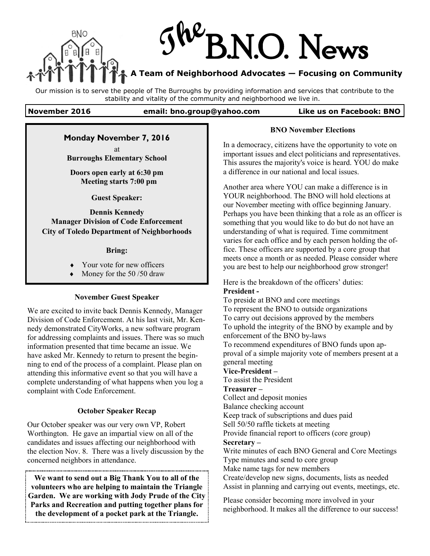

Our mission is to serve the people of The Burroughs by providing information and services that contribute to the stability and vitality of the community and neighborhood we live in.

#### **November 2016 email: bno.group@yahoo.com Like us on Facebook: BNO**

### **Monday November 7, 2016**

at **Burroughs Elementary School** 

**Doors open early at 6:30 pm Meeting starts 7:00 pm**

**Guest Speaker:**

**Dennis Kennedy Manager Division of Code Enforcement City of Toledo Department of Neighborhoods**

#### **Bring:**

- Your vote for new officers
- Money for the 50 /50 draw

#### **November Guest Speaker**

We are excited to invite back Dennis Kennedy, Manager Division of Code Enforcement. At his last visit, Mr. Kennedy demonstrated CityWorks, a new software program for addressing complaints and issues. There was so much information presented that time became an issue. We have asked Mr. Kennedy to return to present the beginning to end of the process of a complaint. Please plan on attending this informative event so that you will have a complete understanding of what happens when you log a complaint with Code Enforcement.

#### **October Speaker Recap**

Our October speaker was our very own VP, Robert Worthington. He gave an impartial view on all of the candidates and issues affecting our neighborhood with the election Nov. 8. There was a lively discussion by the concerned neighbors in attendance.

**We want to send out a Big Thank You to all of the volunteers who are helping to maintain the Triangle Garden. We are working with Jody Prude of the City Parks and Recreation and putting together plans for the development of a pocket park at the Triangle.**

#### **BNO November Elections**

In a democracy, citizens have the opportunity to vote on important issues and elect politicians and representatives. This assures the majority's voice is heard. YOU do make a difference in our national and local issues.

Another area where YOU can make a difference is in YOUR neighborhood. The BNO will hold elections at our November meeting with office beginning January. Perhaps you have been thinking that a role as an officer is something that you would like to do but do not have an understanding of what is required. Time commitment varies for each office and by each person holding the office. These officers are supported by a core group that meets once a month or as needed. Please consider where you are best to help our neighborhood grow stronger!

Here is the breakdown of the officers' duties: **President -**

To preside at BNO and core meetings To represent the BNO to outside organizations To carry out decisions approved by the members To uphold the integrity of the BNO by example and by enforcement of the BNO by-laws To recommend expenditures of BNO funds upon approval of a simple majority vote of members present at a general meeting

# **Vice-President –**

To assist the President

#### **Treasurer –**

Collect and deposit monies Balance checking account Keep track of subscriptions and dues paid Sell 50/50 raffle tickets at meeting Provide financial report to officers (core group) **Secretary –** Write minutes of each BNO General and Core Meetings Type minutes and send to core group Make name tags for new members

Create/develop new signs, documents, lists as needed Assist in planning and carrying out events, meetings, etc.

Please consider becoming more involved in your neighborhood. It makes all the difference to our success!